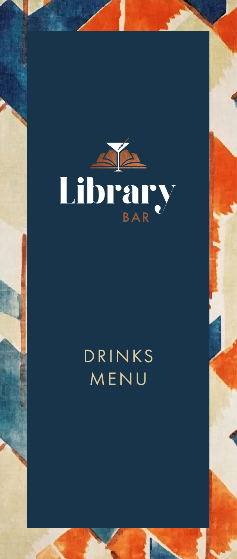

# DRINKS MENU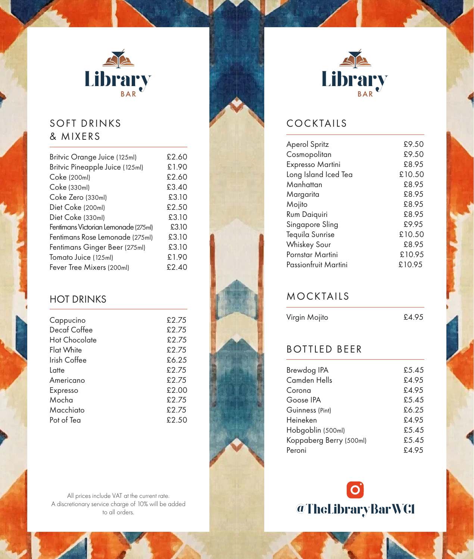

# SOFT DRINKS & MIXERS

| £2.60 |
|-------|
| £1.90 |
| £2.60 |
| £3.40 |
| £3.10 |
| £2.50 |
| £3.10 |
| £3.10 |
| £3.10 |
| £3.10 |
| £1.90 |
| £2.40 |
|       |

# HOT DRINKS

| Cappucino         | £2.75 |
|-------------------|-------|
| Decaf Coffee      | £2.75 |
| Hot Chocolate     | £2.75 |
| <b>Flat White</b> | £2.75 |
| Irish Coffee      | £6.25 |
| Latte             | £2.75 |
| Americano         | £2.75 |
| Expresso          | £2.00 |
| Mocha             | £2.75 |
| Macchiato         | £2.75 |
| Pot of Tea        | £2.50 |
|                   |       |

All prices include VAT at the current rate. A discretionary service charge of 10% will be added



# COCKTAILS

| <b>Aperol Spritz</b> | £9.50  |
|----------------------|--------|
| Cosmopolitan         | £9.50  |
| Expresso Martini     | £8.95  |
| Long Island Iced Tea | £10.50 |
| Manhattan            | £8.95  |
| Margarita            | £8.95  |
| Mojito               | £8.95  |
| Rum Daiquiri         | £8.95  |
| Singapore Sling      | £9.95  |
| Tequila Sunrise      | £10.50 |
| <b>Whiskey Sour</b>  | £8.95  |
| Pornstar Martini     | £10.95 |
| Passionfruit Martini | £10.95 |
|                      |        |

# MOCKTAILS

Virgin Mojito £4.95

# BOTTLED BEER

| Brewdog IPA             | £5.45 |
|-------------------------|-------|
| Camden Hells            | £4.95 |
| Corona                  | £4.95 |
| Goose IPA               | £5.45 |
| Guinness (Pint)         | £6.25 |
| Heineken                | £4.95 |
| Hobgoblin (500ml)       | £5.45 |
| Koppaberg Berry (500ml) | £5.45 |
| Peroni                  | £4.95 |
|                         |       |

 $\bullet$ @TheLibraryBarWCl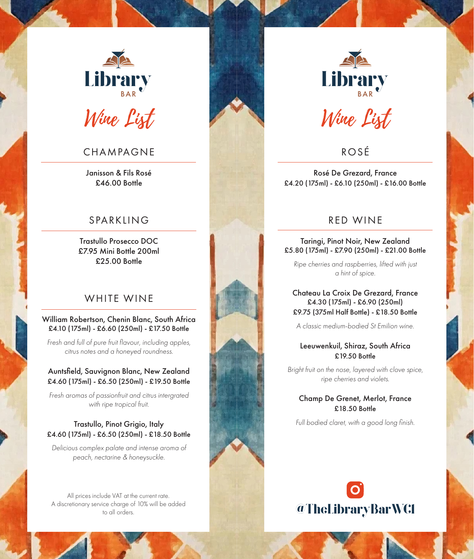

### CHAMPAGNE

Janisson & Fils Rosé £46.00 Bottle

### SPARKLING

Trastullo Prosecco DOC £7.95 Mini Bottle 200ml £25.00 Bottle

#### WHITE WINE

#### William Robertson, Chenin Blanc, South Africa £4.10 (175ml) - £6.60 (250ml) - £17.50 Bottle

*Fresh and full of pure fruit flavour, including apples, citrus notes and a honeyed roundness.*

#### Auntsfield, Sauvignon Blanc, New Zealand £4.60 (175ml) - £6.50 (250ml) - £19.50 Bottle

*Fresh aromas of passionfruit and citrus intergrated with ripe tropical fruit.*

#### Trastullo, Pinot Grigio, Italy £4.60 (175ml) - £6.50 (250ml) - £18.50 Bottle

*Delicious complex palate and intense aroma of peach, nectarine & honeysuckle.*

All prices include VAT at the current rate. A discretionary service charge of 10% will be added



Wine List

ROSÉ

Rosé De Grezard, France £4.20 (175ml) - £6.10 (250ml) - £16.00 Bottle

### RED WINE

Taringi, Pinot Noir, New Zealand £5.80 (175ml) - £7.90 (250ml) - £21.00 Bottle

*Ripe cherries and raspberries, lifted with just a hint of spice.*

#### Chateau La Croix De Grezard, France £4.30 (175ml) - £6.90 (250ml) £9.75 (375ml Half Bottle) - £18.50 Bottle

*A classic medium-bodied St Emilion wine.*

#### Leeuwenkuil, Shiraz, South Africa £19.50 Bottle

*Bright fruit on the nose, layered with clove spice, ripe cherries and violets.*

#### Champ De Grenet, Merlot, France £18.50 Bottle

*Full bodied claret, with a good long finish.*

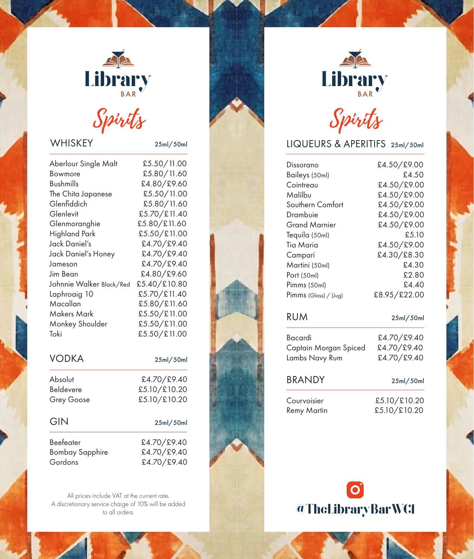

# Spirits Spirits

## WHISKEY 25ml/50ml

| Aberlour Single Malt     | £5.50/11.00  |
|--------------------------|--------------|
| Bowmore                  | £5.80/11.60  |
| <b>Bushmills</b>         | £4.80/£9.60  |
| The Chita Japanese       | £5.50/11.00  |
| Glenfiddich              | £5.80/11.60  |
| Glenlevit                | £5.70/£11.40 |
| Glenmoranghie            | £5.80/£11.60 |
| <b>Highland Park</b>     | £5.50/£11.00 |
| Jack Daniel's            | £4.70/£9.40  |
| Jack Daniel's Honey      | £4.70/£9.40  |
| Jameson                  | £4.70/£9.40  |
| Jim Bean                 | £4.80/£9.60  |
| Johnnie Walker Black/Red | £5.40/£10.80 |
| Laphroaig 10             | £5.70/£11.40 |
| Macallan                 | £5.80/£11.60 |
| <b>Makers Mark</b>       | £5.50/£11.00 |
| Monkey Shoulder          | £5.50/£11.00 |
| Toki                     | £5.50/£11.00 |
|                          |              |

| <b>VODKA</b>           | 25ml/50ml    |
|------------------------|--------------|
| Absolut                | £4.70/£9.40  |
| <b>Beldevere</b>       | £5.10/£10.20 |
| <b>Grey Goose</b>      | £5.10/£10.20 |
| GIN                    | 25ml/50ml    |
| <b>Beefeater</b>       | £4.70/£9.40  |
| <b>Bombay Sapphire</b> | £4.70/£9.40  |
| Gordons                | £4.70/£9.40  |

All prices include VAT at the current rate. A discretionary service charge of 10% will be added to all orders.



# LIQUEURS & APERITIFS 25ml/50ml

| Dissorano               | £4.50/£9.00  |
|-------------------------|--------------|
| Baileys (50ml)          | £4.50        |
| Cointreau               | £4.50/£9.00  |
| Malilbu                 | £4.50/£9.00  |
| Southern Comfort        | £4.50/£9.00  |
| Drambuie                | £4.50/£9.00  |
| Grand Marnier           | £4.50/£9.00  |
| Tequila (50ml)          | £5.10        |
| Tia Maria               | £4.50/£9.00  |
| Campari                 | £4.30/£8.30  |
| Martini (50ml)          | £4.30        |
| Port (50ml)             | £2.80        |
| Pimms (50ml)            | £4.40        |
| $Pimms$ (Glass) / (Jug) | £8.95/£22.00 |
|                         |              |

#### RUM 25ml/50ml

| Bacardi               | £4.70/£9.40  |
|-----------------------|--------------|
| Captain Morgan Spiced | £4.70/£9.40  |
| Lambs Navy Rum        | £4.70/£9.40  |
| <b>BRANDY</b>         | 25ml/50ml    |
| Courvoisier           | £5.10/£10.20 |
| <b>Remy Martin</b>    | £5.10/£10.20 |